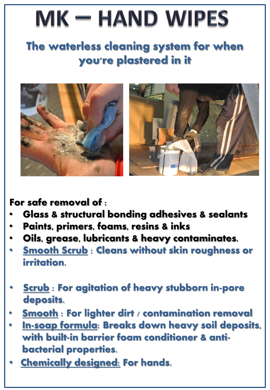## $MK - HAND$  WIPES

## The waterless cleaning system for when you're plastered in it



For safe removal of :

- **Glass & structural bonding adhesives & sealants**
- **Paints, primers, foams, resins & inks**
- **Oils, grease, lubricants & heavy contaminates.**
- **Smooth Scrub : Cleans without skin roughness or irritation.**
- **Scrub : For agitation of heavy stubborn in-pore deposits.**
- **Smooth : For lighter dirt / contamination removal**
- In-soap formula: Breaks down heavy soil deposits, with built-in barrier foam conditioner & antibacterial properties.
- **Chemically designed: For hands.**